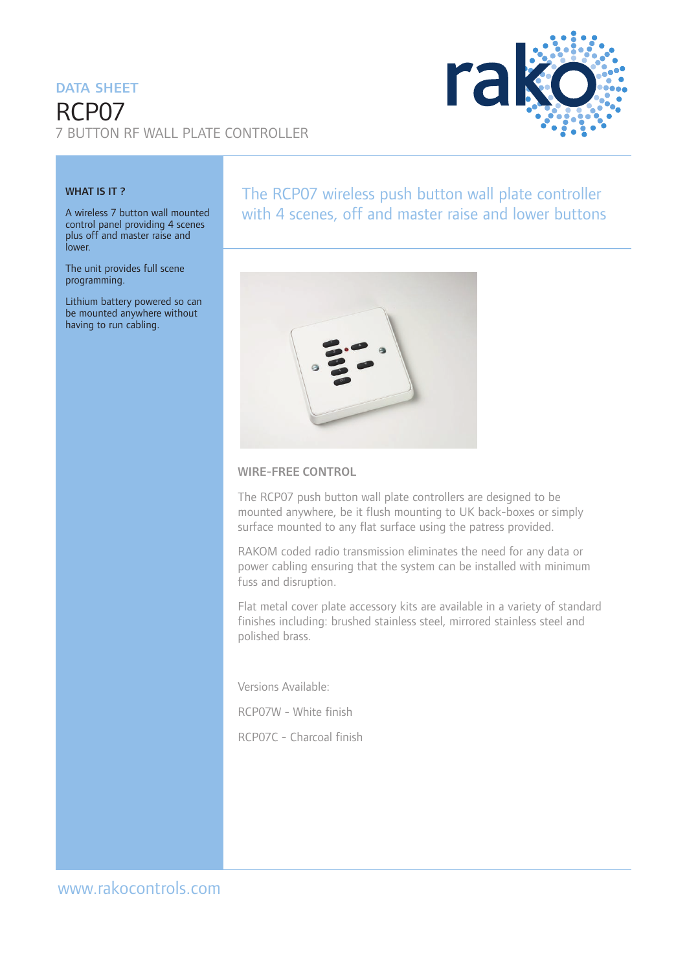# DATA SHEFT RCP07 7 BUTTON RF WALL PLATE CONTROLLER



#### WHAT IS IT?

A wireless 7 button wall mounted control panel providing 4 scenes plus off and master raise and lower.

The unit provides full scene programming.

Lithium battery powered so can be mounted anywhere without having to run cabling.

## The RCP07 wireless push button wall plate controller with 4 scenes, off and master raise and lower buttons



#### WIRE-FREE CONTROL

The RCP07 push button wall plate controllers are designed to be mounted anywhere, be it flush mounting to UK back-boxes or simply surface mounted to any flat surface using the patress provided.

RAKOM coded radio transmission eliminates the need for any data or power cabling ensuring that the system can be installed with minimum fuss and disruption.

Flat metal cover plate accessory kits are available in a variety of standard finishes including: brushed stainless steel, mirrored stainless steel and polished brass.

Versions Available:

RCP07W - White finish

RCP07C - Charcoal finish